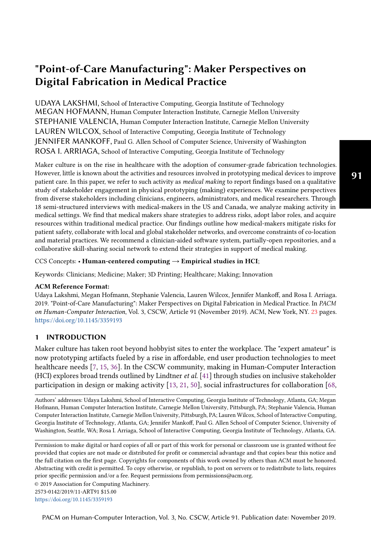# "Point-of-Care Manufacturing": Maker Perspectives on Digital Fabrication in Medical Practice

UDAYA LAKSHMI, School of Interactive Computing, Georgia Institute of Technology MEGAN HOFMANN, Human Computer Interaction Institute, Carnegie Mellon University STEPHANIE VALENCIA, Human Computer Interaction Institute, Carnegie Mellon University LAUREN WILCOX, School of Interactive Computing, Georgia Institute of Technology JENNIFER MANKOFF, Paul G. Allen School of Computer Science, University of Washington ROSA I. ARRIAGA, School of Interactive Computing, Georgia Institute of Technology

Maker culture is on the rise in healthcare with the adoption of consumer-grade fabrication technologies. However, little is known about the activities and resources involved in prototyping medical devices to improve patient care. In this paper, we refer to such activity as medical making to report fndings based on a qualitative study of stakeholder engagement in physical prototyping (making) experiences. We examine perspectives from diverse stakeholders including clinicians, engineers, administrators, and medical researchers. Through 18 semi-structured interviews with medical-makers in the US and Canada, we analyze making activity in medical settings. We fnd that medical makers share strategies to address risks, adopt labor roles, and acquire resources within traditional medical practice. Our fndings outline how medical-makers mitigate risks for patient safety, collaborate with local and global stakeholder networks, and overcome constraints of co-location and material practices. We recommend a clinician-aided software system, partially-open repositories, and a collaborative skill-sharing social network to extend their strategies in support of medical making.

#### CCS Concepts: • Human-centered computing  $\rightarrow$  Empirical studies in HCI;

Keywords: Clinicians; Medicine; Maker; 3D Printing; Healthcare; Making; Innovation

### ACM Reference Format:

Udaya Lakshmi, Megan Hofmann, Stephanie Valencia, Lauren Wilcox, Jennifer Mankof, and Rosa I. Arriaga. 2019. "Point-of-Care Manufacturing": Maker Perspectives on Digital Fabrication in Medical Practice. In PACM on Human-Computer Interaction, Vol. 3, CSCW, Article 91 (November 2019). ACM, New York, NY. [23](#page-22-0) pages. <https://doi.org/10.1145/3359193>

### 1 INTRODUCTION

Maker culture has taken root beyond hobbyist sites to enter the workplace. The "expert amateur" is now prototyping artifacts fueled by a rise in afordable, end user production technologies to meet healthcare needs [\[7,](#page-19-0) [15,](#page-19-1) [36\]](#page-20-0). In the CSCW community, making in Human-Computer Interaction (HCI) explores broad trends outlined by Lindtner et al. [\[41\]](#page-21-0) through studies on inclusive stakeholder participation in design or making activity [\[13,](#page-19-2) [21,](#page-20-1) [50\]](#page-21-1), social infrastructures for collaboration [\[68,](#page-22-1)

Authors' addresses: Udaya Lakshmi, School of Interactive Computing, Georgia Institute of Technology, Atlanta, GA; Megan Hofmann, Human Computer Interaction Institute, Carnegie Mellon University, Pittsburgh, PA; Stephanie Valencia, Human Computer Interaction Institute, Carnegie Mellon University, Pittsburgh, PA; Lauren Wilcox, School of Interactive Computing, Georgia Institute of Technology, Atlanta, GA; Jennifer Mankof, Paul G. Allen School of Computer Science, University of Washington, Seattle, WA; Rosa I. Arriaga, School of Interactive Computing, Georgia Institute of Technology, Atlanta, GA.

Permission to make digital or hard copies of all or part of this work for personal or classroom use is granted without fee provided that copies are not made or distributed for proft or commercial advantage and that copies bear this notice and the full citation on the frst page. Copyrights for components of this work owned by others than ACM must be honored. Abstracting with credit is permitted. To copy otherwise, or republish, to post on servers or to redistribute to lists, requires prior specifc permission and/or a fee. Request permissions from [permissions@acm.org.](mailto:permissions@acm.org)

© 2019 Association for Computing Machinery.

2573-0142/2019/11-ART91 \$15.00

<https://doi.org/10.1145/3359193>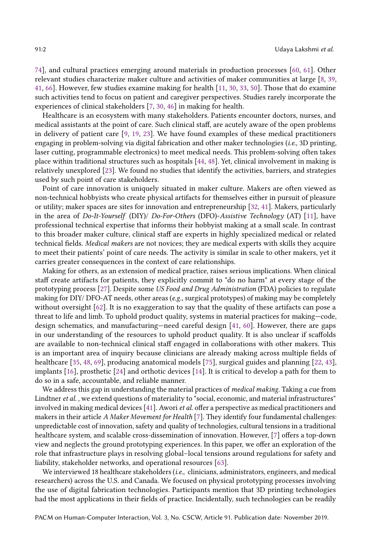[74\]](#page-22-2), and cultural practices emerging around materials in production processes [\[60,](#page-22-3) [61\]](#page-22-4). Other relevant studies characterize maker culture and activities of maker communities at large [\[8,](#page-19-3) [39,](#page-21-2) [41,](#page-21-0) [66\]](#page-22-5). However, few studies examine making for health [\[11,](#page-19-4) [30,](#page-20-2) [33,](#page-20-3) [50\]](#page-21-1). Those that do examine such activities tend to focus on patient and caregiver perspectives. Studies rarely incorporate the experiences of clinical stakeholders [\[7,](#page-19-0) [30,](#page-20-2) [46\]](#page-21-3) in making for health.

Healthcare is an ecosystem with many stakeholders. Patients encounter doctors, nurses, and medical assistants at the point of care. Such clinical staf, are acutely aware of the open problems in delivery of patient care [\[9,](#page-19-5) [19,](#page-20-4) [23\]](#page-20-5). We have found examples of these medical practitioners engaging in problem-solving via digital fabrication and other maker technologies (i.e., 3D printing, laser cutting, programmable electronics) to meet medical needs. This problem-solving often takes place within traditional structures such as hospitals [\[44,](#page-21-4) [48\]](#page-21-5). Yet, clinical involvement in making is relatively unexplored [\[23\]](#page-20-5). We found no studies that identify the activities, barriers, and strategies used by such point of care stakeholders.

Point of care innovation is uniquely situated in maker culture. Makers are often viewed as non-technical hobbyists who create physical artifacts for themselves either in pursuit of pleasure or utility; maker spaces are sites for innovation and entrepreneurship [\[32,](#page-20-6) [41\]](#page-21-0). Makers, particularly in the area of Do-It-Yourself (DIY)/ Do-For-Others (DFO)-Assistive Technology (AT) [\[11\]](#page-19-4), have professional technical expertise that informs their hobbyist making at a small scale. In contrast to this broader maker culture, clinical staf are experts in highly specialized medical or related technical felds. Medical makers are not novices; they are medical experts with skills they acquire to meet their patients' point of care needs. The activity is similar in scale to other makers, yet it carries greater consequences in the context of care relationships.

Making for others, as an extension of medical practice, raises serious implications. When clinical staf create artifacts for patients, they explicitly commit to "do no harm" at every stage of the prototyping process [\[27\]](#page-20-7). Despite some US Food and Drug Administration (FDA) policies to regulate making for DIY/ DFO-AT needs, other areas (e.g., surgical prototypes) of making may be completely without oversight [\[62\]](#page-22-6). It is no exaggeration to say that the quality of these artifacts can pose a threat to life and limb. To uphold product quality, systems in material practices for making—code, design schematics, and manufacturing—need careful design [\[41,](#page-21-0) [60\]](#page-22-3). However, there are gaps in our understanding of the resources to uphold product quality. It is also unclear if scafolds are available to non-technical clinical staff engaged in collaborations with other makers. This is an important area of inquiry because clinicians are already making across multiple felds of healthcare [\[35,](#page-20-8) [48,](#page-21-5) [69\]](#page-22-7), producing anatomical models [\[75\]](#page-22-8), surgical guides and planning [\[22,](#page-20-9) [43\]](#page-21-6), implants [\[16\]](#page-19-6), prosthetic [\[24\]](#page-20-10) and orthotic devices [\[14\]](#page-19-7). It is critical to develop a path for them to do so in a safe, accountable, and reliable manner.

We address this gap in understanding the material practices of *medical making*. Taking a cue from Lindtner et al. , we extend questions of materiality to "social, economic, and material infrastructures" involved in making medical devices  $[41]$ . Awori *et al.* offer a perspective as medical practitioners and makers in their article A Maker Movement for Health [\[7\]](#page-19-0). They identify four fundamental challenges: unpredictable cost of innovation, safety and quality of technologies, cultural tensions in a traditional healthcare system, and scalable cross-dissemination of innovation. However, [\[7\]](#page-19-0) offers a top-down view and neglects the ground prototyping experiences. In this paper, we ofer an exploration of the role that infrastructure plays in resolving global–local tensions around regulations for safety and liability, stakeholder networks, and operational resources [\[63\]](#page-22-9).

We interviewed 18 healthcare stakeholders (i.e., clinicians, administrators, engineers, and medical researchers) across the U.S. and Canada. We focused on physical prototyping processes involving the use of digital fabrication technologies. Participants mention that 3D printing technologies had the most applications in their felds of practice. Incidentally, such technologies can be readily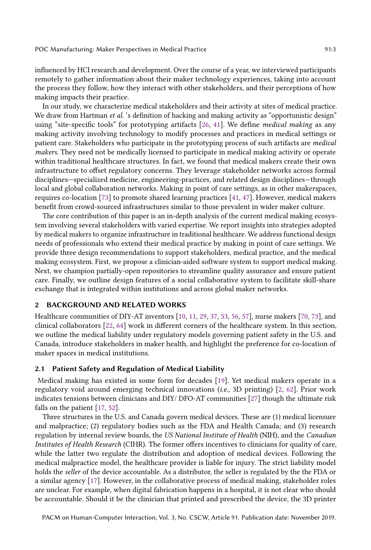infuenced by HCI research and development. Over the course of a year, we interviewed participants remotely to gather information about their maker technology experiences, taking into account the process they follow, how they interact with other stakeholders, and their perceptions of how making impacts their practice.

In our study, we characterize medical stakeholders and their activity at sites of medical practice. We draw from Hartman et al. 's definition of hacking and making activity as "opportunistic design" using "site-specifc tools" for prototyping artifacts [\[26,](#page-20-11) [41\]](#page-21-0). We defne medical making as any making activity involving technology to modify processes and practices in medical settings or patient care. Stakeholders who participate in the prototyping process of such artifacts are medical makers. They need not be medically licensed to participate in medical making activity or operate within traditional healthcare structures. In fact, we found that medical makers create their own infrastructure to ofset regulatory concerns. They leverage stakeholder networks across formal disciplines—specialized medicine, engineering-practices, and related design disciplines—through local and global collaboration networks. Making in point of care settings, as in other makerspaces, requires co-location [\[73\]](#page-22-10) to promote shared learning practices [\[41,](#page-21-0) [47\]](#page-21-7). However, medical makers beneft from crowd-sourced infrastructures similar to those prevalent in wider maker culture.

The core contribution of this paper is an in-depth analysis of the current medical making ecosystem involving several stakeholders with varied expertise. We report insights into strategies adopted by medical makers to organize infrastructure in traditional healthcare. We address functional design needs of professionals who extend their medical practice by making in point of care settings. We provide three design recommendations to support stakeholders, medical practice, and the medical making ecosystem. First, we propose a clinician-aided software system to support medical making. Next, we champion partially-open repositories to streamline quality assurance and ensure patient care. Finally, we outline design features of a social collaborative system to facilitate skill-share exchange that is integrated within institutions and across global maker networks.

### 2 BACKGROUND AND RELATED WORKS

Healthcare communities of DIY-AT inventors [\[10,](#page-19-8) [11,](#page-19-4) [29,](#page-20-12) [37,](#page-20-13) [53,](#page-21-8) [56,](#page-21-9) [57\]](#page-22-11), nurse makers [\[70,](#page-22-12) [73\]](#page-22-10), and clinical collaborators [\[22,](#page-20-9) [64\]](#page-22-13) work in diferent corners of the healthcare system. In this section, we outline the medical liability under regulatory models governing patient safety in the U.S. and Canada, introduce stakeholders in maker health, and highlight the preference for co-location of maker spaces in medical institutions.

### 2.1 Patient Safety and Regulation of Medical Liability

Medical making has existed in some form for decades [\[19\]](#page-20-4). Yet medical makers operate in a regulatory void around emerging technical innovations (i.e., 3D printing) [\[2,](#page-19-9) [62\]](#page-22-6). Prior work indicates tensions between clinicians and DIY/ DFO-AT communities [\[27\]](#page-20-7) though the ultimate risk falls on the patient [\[17,](#page-20-14) [52\]](#page-21-10).

Three structures in the U.S. and Canada govern medical devices. These are (1) medical licensure and malpractice; (2) regulatory bodies such as the FDA and Health Canada; and (3) research regulation by internal review boards, the US National Institute of Health (NIH), and the Canadian Institutes of Health Research (CIHR). The former offers incentives to clinicians for quality of care, while the latter two regulate the distribution and adoption of medical devices. Following the medical malpractice model, the healthcare provider is liable for injury. The strict liability model holds the seller of the device accountable. As a distributor, the seller is regulated by the the FDA or a similar agency [\[17\]](#page-20-14). However, in the collaborative process of medical making, stakeholder roles are unclear. For example, when digital fabrication happens in a hospital, it is not clear who should be accountable. Should it be the clinician that printed and prescribed the device, the 3D printer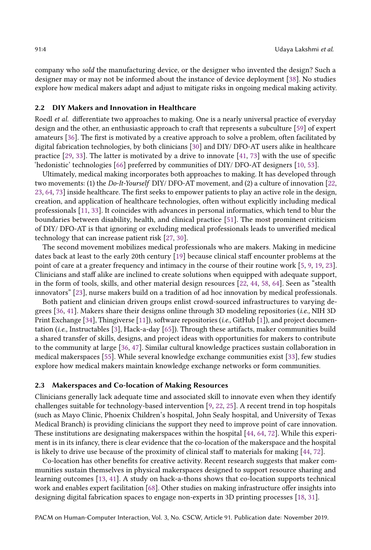company who sold the manufacturing device, or the designer who invented the design? Such a designer may or may not be informed about the instance of device deployment [\[38\]](#page-20-15). No studies explore how medical makers adapt and adjust to mitigate risks in ongoing medical making activity.

### 2.2 DIY Makers and Innovation in Healthcare

Roedl *et al.* differentiate two approaches to making. One is a nearly universal practice of everyday design and the other, an enthusiastic approach to craft that represents a subculture [\[59\]](#page-22-14) of expert amateurs [\[36\]](#page-20-0). The frst is motivated by a creative approach to solve a problem, often facilitated by digital fabrication technologies, by both clinicians [\[30\]](#page-20-2) and DIY/ DFO-AT users alike in healthcare practice [\[29,](#page-20-12) [33\]](#page-20-3). The latter is motivated by a drive to innovate [\[41,](#page-21-0) [73\]](#page-22-10) with the use of specifc 'hedonistic' technologies [\[66\]](#page-22-5) preferred by communities of DIY/ DFO-AT designers [\[10,](#page-19-8) [53\]](#page-21-8).

Ultimately, medical making incorporates both approaches to making. It has developed through two movements: (1) the Do-It-Yourself DIY/ DFO-AT movement, and (2) a culture of innovation [\[22,](#page-20-9) [23,](#page-20-5) [64,](#page-22-13) [73\]](#page-22-10) inside healthcare. The frst seeks to empower patients to play an active role in the design, creation, and application of healthcare technologies, often without explicitly including medical professionals [\[11,](#page-19-4) [33\]](#page-20-3). It coincides with advances in personal informatics, which tend to blur the boundaries between disability, health, and clinical practice [\[51\]](#page-21-11). The most prominent criticism of DIY/ DFO-AT is that ignoring or excluding medical professionals leads to unverifed medical technology that can increase patient risk [\[27,](#page-20-7) [30\]](#page-20-2).

The second movement mobilizes medical professionals who are makers. Making in medicine dates back at least to the early 20th century [\[19\]](#page-20-4) because clinical staff encounter problems at the point of care at a greater frequency and intimacy in the course of their routine work [\[5,](#page-19-10) [9,](#page-19-5) [19,](#page-20-4) [23\]](#page-20-5). Clinicians and staf alike are inclined to create solutions when equipped with adequate support, in the form of tools, skills, and other material design resources [\[22,](#page-20-9) [44,](#page-21-4) [58,](#page-22-15) [64\]](#page-22-13). Seen as "stealth innovators" [\[23\]](#page-20-5), nurse makers build on a tradition of ad hoc innovation by medical professionals.

Both patient and clinician driven groups enlist crowd-sourced infrastructures to varying degrees [\[36,](#page-20-0) [41\]](#page-21-0). Makers share their designs online through 3D modeling repositories (i.e., NIH 3D Print Exchange [\[34\]](#page-20-16), Thingiverse [\[11\]](#page-19-4)), software repositories (i.e., GitHub [\[1\]](#page-19-11)), and project documentation (*i.e.*, Instructables [\[3\]](#page-19-12), Hack-a-day [\[65\]](#page-22-16)). Through these artifacts, maker communities build a shared transfer of skills, designs, and project ideas with opportunities for makers to contribute to the community at large [\[36,](#page-20-0) [47\]](#page-21-7). Similar cultural knowledge practices sustain collaboration in medical makerspaces [\[55\]](#page-21-12). While several knowledge exchange communities exist [\[33\]](#page-20-3), few studies explore how medical makers maintain knowledge exchange networks or form communities.

#### 2.3 Makerspaces and Co-location of Making Resources

Clinicians generally lack adequate time and associated skill to innovate even when they identify challenges suitable for technology-based intervention [\[9,](#page-19-5) [22,](#page-20-9) [25\]](#page-20-17). A recent trend in top hospitals (such as Mayo Clinic, Phoenix Children's hospital, John Sealy hospital, and University of Texas Medical Branch) is providing clinicians the support they need to improve point of care innovation. These institutions are designating makerspaces within the hospital [\[44,](#page-21-4) [64,](#page-22-13) [72\]](#page-22-17). While this experiment is in its infancy, there is clear evidence that the co-location of the makerspace and the hospital is likely to drive use because of the proximity of clinical staff to materials for making  $[44, 72]$  $[44, 72]$  $[44, 72]$ .

Co-location has other benefts for creative activity. Recent research suggests that maker communities sustain themselves in physical makerspaces designed to support resource sharing and learning outcomes [\[13,](#page-19-2) [41\]](#page-21-0). A study on hack-a-thons shows that co-location supports technical work and enables expert facilitation [\[68\]](#page-22-1). Other studies on making infrastructure ofer insights into designing digital fabrication spaces to engage non-experts in 3D printing processes [\[18,](#page-20-18) [31\]](#page-20-19).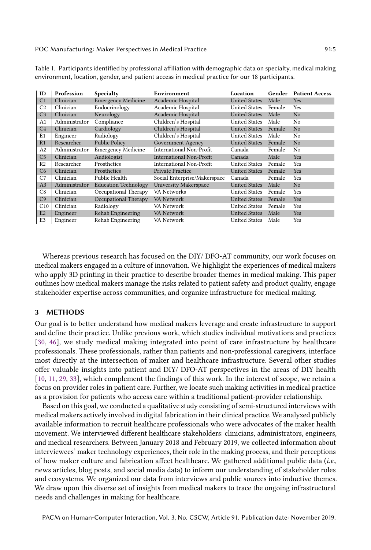| ID             | Profession    | Specialty                   | Environment                  | Location             | Gender | <b>Patient Access</b> |
|----------------|---------------|-----------------------------|------------------------------|----------------------|--------|-----------------------|
| C <sub>1</sub> | Clinician     | <b>Emergency Medicine</b>   | Academic Hospital            | <b>United States</b> | Male   | Yes                   |
| C <sub>2</sub> | Clinician     | Endocrinology               | Academic Hospital            | United States        | Female | Yes                   |
| C <sub>3</sub> | Clinician     | Neurology                   | Academic Hospital            | <b>United States</b> | Male   | N <sub>o</sub>        |
| A <sub>1</sub> | Administrator | Compliance                  | Children's Hospital          | United States        | Male   | No                    |
| C <sub>4</sub> | Clinician     | Cardiology                  | Children's Hospital          | <b>United States</b> | Female | N <sub>o</sub>        |
| E1             | Engineer      | Radiology                   | Children's Hospital          | <b>United States</b> | Male   | No                    |
| R <sub>1</sub> | Researcher    | <b>Public Policy</b>        | Government Agency            | <b>United States</b> | Female | N <sub>o</sub>        |
| A <sub>2</sub> | Administrator | <b>Emergency Medicine</b>   | International Non-Profit     | Canada               | Female | No                    |
| C <sub>5</sub> | Clinician     | Audiologist                 | International Non-Profit     | Canada               | Male   | Yes                   |
| R <sub>2</sub> | Researcher    | Prosthetics                 | International Non-Profit     | <b>United States</b> | Female | Yes                   |
| C <sub>6</sub> | Clinician     | Prosthetics                 | <b>Private Practice</b>      | <b>United States</b> | Female | Yes                   |
| C <sub>7</sub> | Clinician     | Public Health               | Social Enterprise/Makerspace | Canada               | Female | Yes                   |
| A <sub>3</sub> | Administrator | <b>Education Technology</b> | <b>University Makerspace</b> | <b>United States</b> | Male   | N <sub>o</sub>        |
| C8             | Clinician     | Occupational Therapy        | VA Networks                  | United States        | Female | Yes                   |
| C9             | Clinician     | Occupational Therapy        | VA Network                   | <b>United States</b> | Female | Yes                   |
| C10            | Clinician     | Radiology                   | VA Network                   | United States        | Female | Yes                   |
| E2             | Engineer      | Rehab Engineering           | VA Network                   | <b>United States</b> | Male   | Yes                   |
| E <sub>3</sub> | Engineer      | Rehab Engineering           | VA Network                   | <b>United States</b> | Male   | Yes                   |

Table 1. Participants identified by professional afiliation with demographic data on specialty, medical making environment, location, gender, and patient access in medical practice for our 18 participants.

Whereas previous research has focused on the DIY/ DFO-AT community, our work focuses on medical makers engaged in a culture of innovation. We highlight the experiences of medical makers who apply 3D printing in their practice to describe broader themes in medical making. This paper outlines how medical makers manage the risks related to patient safety and product quality, engage stakeholder expertise across communities, and organize infrastructure for medical making.

### 3 METHODS

Our goal is to better understand how medical makers leverage and create infrastructure to support and defne their practice. Unlike previous work, which studies individual motivations and practices [\[30,](#page-20-2) [46\]](#page-21-3), we study medical making integrated into point of care infrastructure by healthcare professionals. These professionals, rather than patients and non-professional caregivers, interface most directly at the intersection of maker and healthcare infrastructure. Several other studies ofer valuable insights into patient and DIY/ DFO-AT perspectives in the areas of DIY health [\[10,](#page-19-8) [11,](#page-19-4) [29,](#page-20-12) [33\]](#page-20-3), which complement the findings of this work. In the interest of scope, we retain a focus on provider roles in patient care. Further, we locate such making activities in medical practice as a provision for patients who access care within a traditional patient-provider relationship.

Based on this goal, we conducted a qualitative study consisting of semi-structured interviews with medical makers actively involved in digital fabrication in their clinical practice. We analyzed publicly available information to recruit healthcare professionals who were advocates of the maker health movement. We interviewed diferent healthcare stakeholders: clinicians, administrators, engineers, and medical researchers. Between January 2018 and February 2019, we collected information about interviewees' maker technology experiences, their role in the making process, and their perceptions of how maker culture and fabrication afect healthcare. We gathered additional public data (i.e., news articles, blog posts, and social media data) to inform our understanding of stakeholder roles and ecosystems. We organized our data from interviews and public sources into inductive themes. We draw upon this diverse set of insights from medical makers to trace the ongoing infrastructural needs and challenges in making for healthcare.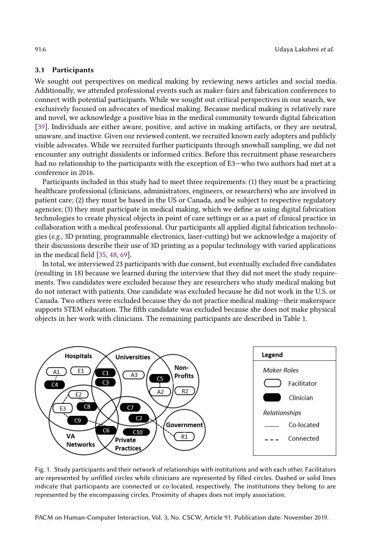### 3.1 Participants

We sought out perspectives on medical making by reviewing news articles and social media. Additionally, we attended professional events such as maker-fairs and fabrication conferences to connect with potential participants. While we sought out critical perspectives in our search, we exclusively focused on advocates of medical making. Because medical making is relatively rare and novel, we acknowledge a positive bias in the medical community towards digital fabrication [\[39\]](#page-21-2). Individuals are either aware, positive, and active in making artifacts, or they are neutral, unaware, and inactive. Given our reviewed content, we recruited known early adopters and publicly visible advocates. While we recruited further participants through snowball sampling, we did not encounter any outright dissidents or informed critics. Before this recruitment phase researchers had no relationship to the participants with the exception of E3-who two authors had met at a conference in 2016.

Participants included in this study had to meet three requirements: (1) they must be a practicing healthcare professional (clinicians, administrators, engineers, or researchers) who are involved in patient care; (2) they must be based in the US or Canada, and be subject to respective regulatory agencies; (3) they must participate in medical making, which we defne as using digital fabrication technologies to create physical objects in point of care settings or as a part of clinical practice in collaboration with a medical professional. Our participants all applied digital fabrication technologies (e.g., 3D printing, programmable electronics, laser-cutting) but we acknowledge a majority of their discussions describe their use of 3D printing as a popular technology with varied applications in the medical feld [\[35,](#page-20-8) [48,](#page-21-5) [69\]](#page-22-7).

In total, we interviewed 23 participants with due consent, but eventually excluded fve candidates (resulting in 18) because we learned during the interview that they did not meet the study requirements. Two candidates were excluded because they are researchers who study medical making but do not interact with patients. One candidate was excluded because he did not work in the U.S. or Canada. Two others were excluded because they do not practice medical making—their makerspace supports STEM education. The ffth candidate was excluded because she does not make physical objects in her work with clinicians. The remaining participants are described in Table 1.



Fig. 1. Study participants and their network of relationships with institutions and with each other. Facilitators are represented by unfilled circles while clinicians are represented by filled circles. Dashed or solid lines indicate that participants are connected or co-located, respectively. The institutions they belong to are represented by the encompassing circles. Proximity of shapes does not imply association.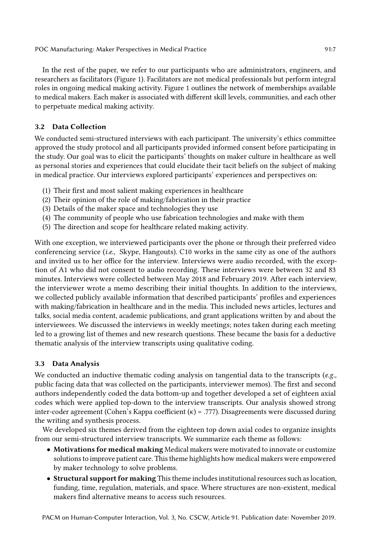In the rest of the paper, we refer to our participants who are administrators, engineers, and researchers as facilitators (Figure 1). Facilitators are not medical professionals but perform integral roles in ongoing medical making activity. Figure 1 outlines the network of memberships available to medical makers. Each maker is associated with diferent skill levels, communities, and each other to perpetuate medical making activity.

# 3.2 Data Collection

We conducted semi-structured interviews with each participant. The university's ethics committee approved the study protocol and all participants provided informed consent before participating in the study. Our goal was to elicit the participants' thoughts on maker culture in healthcare as well as personal stories and experiences that could elucidate their tacit beliefs on the subject of making in medical practice. Our interviews explored participants' experiences and perspectives on:

- (1) Their frst and most salient making experiences in healthcare
- (2) Their opinion of the role of making/fabrication in their practice
- (3) Details of the maker space and technologies they use
- (4) The community of people who use fabrication technologies and make with them
- (5) The direction and scope for healthcare related making activity.

With one exception, we interviewed participants over the phone or through their preferred video conferencing service (i.e., Skype, Hangouts). C10 works in the same city as one of the authors and invited us to her office for the interview. Interviews were audio recorded, with the exception of A1 who did not consent to audio recording. These interviews were between 32 and 83 minutes. Interviews were collected between May 2018 and February 2019. After each interview, the interviewer wrote a memo describing their initial thoughts. In addition to the interviews, we collected publicly available information that described participants' profles and experiences with making/fabrication in healthcare and in the media. This included news articles, lectures and talks, social media content, academic publications, and grant applications written by and about the interviewees. We discussed the interviews in weekly meetings; notes taken during each meeting led to a growing list of themes and new research questions. These became the basis for a deductive thematic analysis of the interview transcripts using qualitative coding.

# 3.3 Data Analysis

We conducted an inductive thematic coding analysis on tangential data to the transcripts (e.g., public facing data that was collected on the participants, interviewer memos). The frst and second authors independently coded the data bottom-up and together developed a set of eighteen axial codes which were applied top-down to the interview transcripts. Our analysis showed strong inter-coder agreement (Cohen's Kappa coefficient  $(\kappa)$  = .777). Disagreements were discussed during the writing and synthesis process.

We developed six themes derived from the eighteen top down axial codes to organize insights from our semi-structured interview transcripts. We summarize each theme as follows:

- Motivations for medical making Medical makers were motivated to innovate or customize solutionsto improve patient care. Thistheme highlights how medical makers were empowered by maker technology to solve problems.
- Structural support for making This theme includes institutional resources such as location, funding, time, regulation, materials, and space. Where structures are non-existent, medical makers fnd alternative means to access such resources.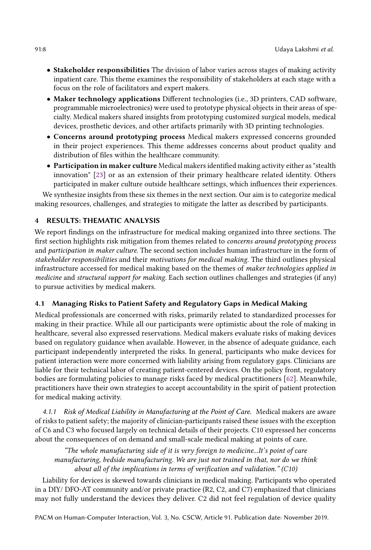- Stakeholder responsibilities The division of labor varies across stages of making activity inpatient care. This theme examines the responsibility of stakeholders at each stage with a focus on the role of facilitators and expert makers.
- Maker technology applications Diferent technologies (i.e., 3D printers, CAD software, programmable microelectronics) were used to prototype physical objects in their areas of specialty. Medical makers shared insights from prototyping customized surgical models, medical devices, prosthetic devices, and other artifacts primarily with 3D printing technologies.
- Concerns around prototyping process Medical makers expressed concerns grounded in their project experiences. This theme addresses concerns about product quality and distribution of fles within the healthcare community.
- Participation in maker culture Medical makersidentifed making activity either as"stealth innovation" [\[23\]](#page-20-5) or as an extension of their primary healthcare related identity. Others participated in maker culture outside healthcare settings, which infuences their experiences.

We synthesize insights from these six themes in the next section. Our aim is to categorize medical making resources, challenges, and strategies to mitigate the latter as described by participants.

### 4 RESULTS: THEMATIC ANALYSIS

We report fndings on the infrastructure for medical making organized into three sections. The first section highlights risk mitigation from themes related to concerns around prototyping process and participation in maker culture. The second section includes human infrastructure in the form of stakeholder responsibilities and their motivations for medical making. The third outlines physical infrastructure accessed for medical making based on the themes of maker technologies applied in medicine and structural support for making. Each section outlines challenges and strategies (if any) to pursue activities by medical makers.

### 4.1 Managing Risks to Patient Safety and Regulatory Gaps in Medical Making

Medical professionals are concerned with risks, primarily related to standardized processes for making in their practice. While all our participants were optimistic about the role of making in healthcare, several also expressed reservations. Medical makers evaluate risks of making devices based on regulatory guidance when available. However, in the absence of adequate guidance, each participant independently interpreted the risks. In general, participants who make devices for patient interaction were more concerned with liability arising from regulatory gaps. Clinicians are liable for their technical labor of creating patient-centered devices. On the policy front, regulatory bodies are formulating policies to manage risks faced by medical practitioners [\[62\]](#page-22-6). Meanwhile, practitioners have their own strategies to accept accountability in the spirit of patient protection for medical making activity.

4.1.1 Risk of Medical Liability in Manufacturing at the Point of Care. Medical makers are aware of risks to patient safety; the majority of clinician-participants raised these issues with the exception of C6 and C3 who focused largely on technical details of their projects. C10 expressed her concerns about the consequences of on demand and small-scale medical making at points of care.

"The whole manufacturing side of it is very foreign to medicine...It's point of care manufacturing, bedside manufacturing. We are just not trained in that, nor do we think about all of the implications in terms of verifcation and validation." (C10)

Liability for devices is skewed towards clinicians in medical making. Participants who operated in a DIY/ DFO-AT community and/or private practice (R2, C2, and C7) emphasized that clinicians may not fully understand the devices they deliver. C2 did not feel regulation of device quality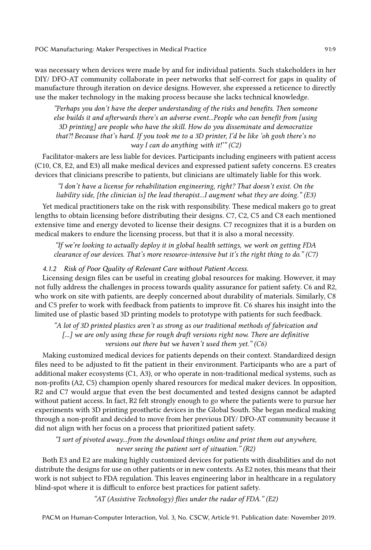was necessary when devices were made by and for individual patients. Such stakeholders in her DIY/ DFO-AT community collaborate in peer networks that self-correct for gaps in quality of manufacture through iteration on device designs. However, she expressed a reticence to directly use the maker technology in the making process because she lacks technical knowledge.

"Perhaps you don't have the deeper understanding of the risks and benefts. Then someone else builds it and afterwards there's an adverse event...People who can beneft from [using 3D printing] are people who have the skill. How do you disseminate and democratize that?! Because that's hard. If you took me to a 3D printer, I'd be like 'oh gosh there's no way I can do anything with it!"  $(C2)$ 

Facilitator-makers are less liable for devices. Participants including engineers with patient access (C10, C8, E2, and E3) all make medical devices and expressed patient safety concerns. E3 creates devices that clinicians prescribe to patients, but clinicians are ultimately liable for this work.

"I don't have a license for rehabilitation engineering, right? That doesn't exist. On the liability side, [the clinician is] the lead therapist...I augment what they are doing." (E3)

Yet medical practitioners take on the risk with responsibility. These medical makers go to great lengths to obtain licensing before distributing their designs. C7, C2, C5 and C8 each mentioned extensive time and energy devoted to license their designs. C7 recognizes that it is a burden on medical makers to endure the licensing process, but that it is also a moral necessity.

"If we're looking to actually deploy it in global health settings, we work on getting FDA clearance of our devices. That's more resource-intensive but it's the right thing to do." (C7)

### 4.1.2 Risk of Poor Quality of Relevant Care without Patient Access.

Licensing design fles can be useful in creating global resources for making. However, it may not fully address the challenges in process towards quality assurance for patient safety. C6 and R2, who work on site with patients, are deeply concerned about durability of materials. Similarly, C8 and C5 prefer to work with feedback from patients to improve ft. C6 shares his insight into the limited use of plastic based 3D printing models to prototype with patients for such feedback.

"A lot of 3D printed plastics aren't as strong as our traditional methods of fabrication and [...] we are only using these for rough draft versions right now. There are definitive versions out there but we haven't used them yet."  $(C6)$ 

Making customized medical devices for patients depends on their context. Standardized design fles need to be adjusted to ft the patient in their environment. Participants who are a part of additional maker ecosystems (C1, A3), or who operate in non-traditional medical systems, such as non-profts (A2, C5) champion openly shared resources for medical maker devices. In opposition, R2 and C7 would argue that even the best documented and tested designs cannot be adapted without patient access. In fact, R2 felt strongly enough to go where the patients were to pursue her experiments with 3D printing prosthetic devices in the Global South. She began medical making through a non-proft and decided to move from her previous DIY/ DFO-AT community because it did not align with her focus on a process that prioritized patient safety.

"I sort of pivoted away...from the download things online and print them out anywhere, never seeing the patient sort of situation." (R2)

Both E3 and E2 are making highly customized devices for patients with disabilities and do not distribute the designs for use on other patients or in new contexts. As E2 notes, this means that their work is not subject to FDA regulation. This leaves engineering labor in healthcare in a regulatory blind-spot where it is difficult to enforce best practices for patient safety.

"AT (Assistive Technology) flies under the radar of FDA."  $(E2)$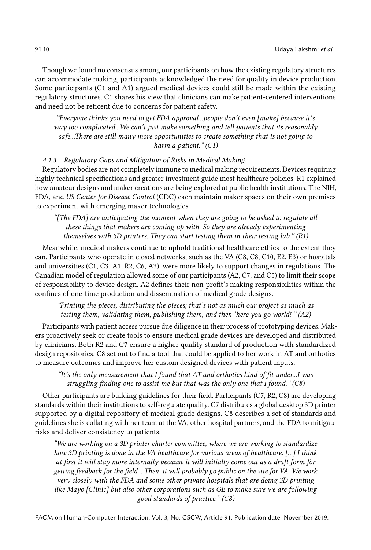Though we found no consensus among our participants on how the existing regulatory structures can accommodate making, participants acknowledged the need for quality in device production. Some participants (C1 and A1) argued medical devices could still be made within the existing regulatory structures. C1 shares his view that clinicians can make patient-centered interventions and need not be reticent due to concerns for patient safety.

"Everyone thinks you need to get FDA approval...people don't even [make] because it's way too complicated...We can't just make something and tell patients that its reasonably safe...There are still many more opportunities to create something that is not going to harm a patient." (C1)

4.1.3 Regulatory Gaps and Mitigation of Risks in Medical Making.

Regulatory bodies are not completely immune to medical making requirements. Devices requiring highly technical specifcations and greater investment guide most healthcare policies. R1 explained how amateur designs and maker creations are being explored at public health institutions. The NIH, FDA, and US Center for Disease Control (CDC) each maintain maker spaces on their own premises to experiment with emerging maker technologies.

"[The FDA] are anticipating the moment when they are going to be asked to regulate all these things that makers are coming up with. So they are already experimenting themselves with 3D printers. They can start testing them in their testing  $lab.^{n}(R1)$ 

Meanwhile, medical makers continue to uphold traditional healthcare ethics to the extent they can. Participants who operate in closed networks, such as the VA (C8, C8, C10, E2, E3) or hospitals and universities (C1, C3, A1, R2, C6, A3), were more likely to support changes in regulations. The Canadian model of regulation allowed some of our participants (A2, C7, and C5) to limit their scope of responsibility to device design. A2 defnes their non-proft's making responsibilities within the confnes of one-time production and dissemination of medical grade designs.

"Printing the pieces, distributing the pieces; that's not as much our project as much as testing them, validating them, publishing them, and then 'here you go world!'" (A2)

Participants with patient access pursue due diligence in their process of prototyping devices. Makers proactively seek or create tools to ensure medical grade devices are developed and distributed by clinicians. Both R2 and C7 ensure a higher quality standard of production with standardized design repositories. C8 set out to fnd a tool that could be applied to her work in AT and orthotics to measure outcomes and improve her custom designed devices with patient inputs.

"It's the only measurement that I found that AT and orthotics kind of fit under...I was struggling fnding one to assist me but that was the only one that I found." (C8)

Other participants are building guidelines for their feld. Participants (C7, R2, C8) are developing standards within their institutions to self-regulate quality. C7 distributes a global desktop 3D printer supported by a digital repository of medical grade designs. C8 describes a set of standards and guidelines she is collating with her team at the VA, other hospital partners, and the FDA to mitigate risks and deliver consistency to patients.

"We are working on a 3D printer charter committee, where we are working to standardize how 3D printing is done in the VA healthcare for various areas of healthcare. [...] I think at frst it will stay more internally because it will initially come out as a draft form for getting feedback for the feld... Then, it will probably go public on the site for VA. We work very closely with the FDA and some other private hospitals that are doing 3D printing like Mayo [Clinic] but also other corporations such as GE to make sure we are following good standards of practice." (C8)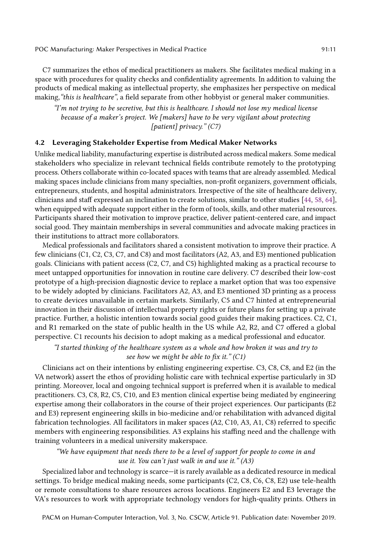C7 summarizes the ethos of medical practitioners as makers. She facilitates medical making in a space with procedures for quality checks and confdentiality agreements. In addition to valuing the products of medical making as intellectual property, she emphasizes her perspective on medical making, "this is healthcare", a field separate from other hobbyist or general maker communities.

"I'm not trying to be secretive, but this is healthcare. I should not lose  $my$  medical license because of a maker's project. We [makers] have to be very vigilant about protecting [patient] privacy."  $(C7)$ 

# 4.2 Leveraging Stakeholder Expertise from Medical Maker Networks

Unlike medical liability, manufacturing expertise is distributed across medical makers. Some medical stakeholders who specialize in relevant technical felds contribute remotely to the prototyping process. Others collaborate within co-located spaces with teams that are already assembled. Medical making spaces include clinicians from many specialties, non-profit organizers, government officials, entrepreneurs, students, and hospital administrators. Irrespective of the site of healthcare delivery, clinicians and staff expressed an inclination to create solutions, similar to other studies [\[44,](#page-21-4) [58,](#page-22-15) [64\]](#page-22-13), when equipped with adequate support either in the form of tools, skills, and other material resources. Participants shared their motivation to improve practice, deliver patient-centered care, and impact social good. They maintain memberships in several communities and advocate making practices in their institutions to attract more collaborators.

Medical professionals and facilitators shared a consistent motivation to improve their practice. A few clinicians (C1, C2, C3, C7, and C8) and most facilitators (A2, A3, and E3) mentioned publication goals. Clinicians with patient access (C2, C7, and C5) highlighted making as a practical recourse to meet untapped opportunities for innovation in routine care delivery. C7 described their low-cost prototype of a high-precision diagnostic device to replace a market option that was too expensive to be widely adopted by clinicians. Facilitators A2, A3, and E3 mentioned 3D printing as a process to create devices unavailable in certain markets. Similarly, C5 and C7 hinted at entrepreneurial innovation in their discussion of intellectual property rights or future plans for setting up a private practice. Further, a holistic intention towards social good guides their making practices. C2, C1, and R1 remarked on the state of public health in the US while A2, R2, and C7 ofered a global perspective. C1 recounts his decision to adopt making as a medical professional and educator.

"I started thinking of the healthcare system as a whole and how broken it was and try to see how we might be able to fix it."  $(C1)$ 

Clinicians act on their intentions by enlisting engineering expertise. C3, C8, C8, and E2 (in the VA network) assert the ethos of providing holistic care with technical expertise particularly in 3D printing. Moreover, local and ongoing technical support is preferred when it is available to medical practitioners. C3, C8, R2, C5, C10, and E3 mention clinical expertise being mediated by engineering expertise among their collaborators in the course of their project experiences. Our participants (E2 and E3) represent engineering skills in bio-medicine and/or rehabilitation with advanced digital fabrication technologies. All facilitators in maker spaces (A2, C10, A3, A1, C8) referred to specifc members with engineering responsibilities. A3 explains his staffing need and the challenge with training volunteers in a medical university makerspace.

### "We have equipment that needs there to be a level of support for people to come in and use it. You can't just walk in and use it."  $(A3)$

Specialized labor and technology is scarce—it is rarely available as a dedicated resource in medical settings. To bridge medical making needs, some participants (C2, C8, C6, C8, E2) use tele-health or remote consultations to share resources across locations. Engineers E2 and E3 leverage the VA's resources to work with appropriate technology vendors for high-quality prints. Others in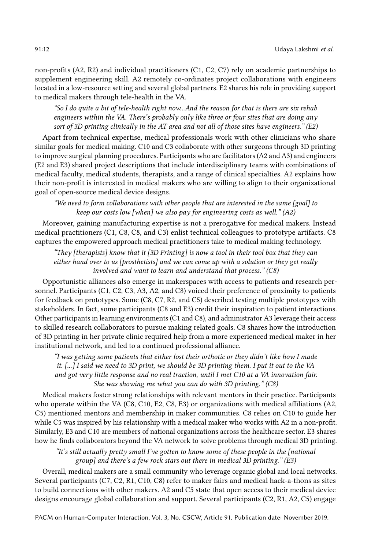non-profts (A2, R2) and individual practitioners (C1, C2, C7) rely on academic partnerships to supplement engineering skill. A2 remotely co-ordinates project collaborations with engineers located in a low-resource setting and several global partners. E2 shares his role in providing support to medical makers through tele-health in the VA.

"So I do quite a bit of tele-health right now...And the reason for that is there are six rehab engineers within the VA. There's probably only like three or four sites that are doing any sort of 3D printing clinically in the AT area and not all of those sites have engineers." (E2)

Apart from technical expertise, medical professionals work with other clinicians who share similar goals for medical making. C10 and C3 collaborate with other surgeons through 3D printing to improve surgical planning procedures. Participants who are facilitators(A2 and A3) and engineers (E2 and E3) shared project descriptions that include interdisciplinary teams with combinations of medical faculty, medical students, therapists, and a range of clinical specialties. A2 explains how their non-proft is interested in medical makers who are willing to align to their organizational goal of open-source medical device designs.

"We need to form collaborations with other people that are interested in the same [goal] to keep our costs low [when] we also pay for engineering costs as well." (A2)

Moreover, gaining manufacturing expertise is not a prerogative for medical makers. Instead medical practitioners (C1, C8, C8, and C3) enlist technical colleagues to prototype artifacts. C8 captures the empowered approach medical practitioners take to medical making technology.

"They [therapists] know that it [3D Printing] is now a tool in their tool box that they can either hand over to us [prosthetists] and we can come up with a solution or they get really involved and want to learn and understand that process." (C8)

Opportunistic alliances also emerge in makerspaces with access to patients and research personnel. Participants (C1, C2, C3, A3, A2, and C8) voiced their preference of proximity to patients for feedback on prototypes. Some (C8, C7, R2, and C5) described testing multiple prototypes with stakeholders. In fact, some participants (C8 and E3) credit their inspiration to patient interactions. Other participants in learning environments (C1 and C8), and administrator A3 leverage their access to skilled research collaborators to pursue making related goals. C8 shares how the introduction of 3D printing in her private clinic required help from a more experienced medical maker in her institutional network, and led to a continued professional alliance.

"I was getting some patients that either lost their orthotic or they didn't like how I made it. [...] I said we need to 3D print, we should be 3D printing them. I put it out to the VA and got very little response and no real traction, until I met C10 at a VA innovation fair. She was showing me what you can do with 3D printing." (C8)

Medical makers foster strong relationships with relevant mentors in their practice. Participants who operate within the VA (C8, C10, E2, C8, E3) or organizations with medical affiliations (A2, C5) mentioned mentors and membership in maker communities. C8 relies on C10 to guide her while C5 was inspired by his relationship with a medical maker who works with A2 in a non-proft. Similarly, E3 and C10 are members of national organizations across the healthcare sector. E3 shares how he fnds collaborators beyond the VA network to solve problems through medical 3D printing.

"It's still actually pretty small I've gotten to know some of these people in the [national group] and there's a few rock stars out there in medical 3D printing." (E3)

Overall, medical makers are a small community who leverage organic global and local networks. Several participants (C7, C2, R1, C10, C8) refer to maker fairs and medical hack-a-thons as sites to build connections with other makers. A2 and C5 state that open access to their medical device designs encourage global collaboration and support. Several participants (C2, R1, A2, C5) engage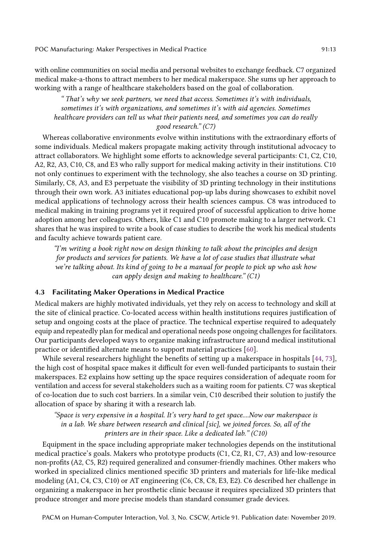with online communities on social media and personal websites to exchange feedback. C7 organized medical make-a-thons to attract members to her medical makerspace. She sums up her approach to working with a range of healthcare stakeholders based on the goal of collaboration.

" That's why we seek partners, we need that access. Sometimes it's with individuals, sometimes it's with organizations, and sometimes it's with aid agencies. Sometimes healthcare providers can tell us what their patients need, and sometimes you can do really good research." (C7)

Whereas collaborative environments evolve within institutions with the extraordinary eforts of some individuals. Medical makers propagate making activity through institutional advocacy to attract collaborators. We highlight some eforts to acknowledge several participants: C1, C2, C10, A2, R2, A3, C10, C8, and E3 who rally support for medical making activity in their institutions. C10 not only continues to experiment with the technology, she also teaches a course on 3D printing. Similarly, C8, A3, and E3 perpetuate the visibility of 3D printing technology in their institutions through their own work. A3 initiates educational pop-up labs during showcases to exhibit novel medical applications of technology across their health sciences campus. C8 was introduced to medical making in training programs yet it required proof of successful application to drive home adoption among her colleagues. Others, like C1 and C10 promote making to a larger network. C1 shares that he was inspired to write a book of case studies to describe the work his medical students and faculty achieve towards patient care.

"I'm writing a book right now on design thinking to talk about the principles and design for products and services for patients. We have a lot of case studies that illustrate what we're talking about. Its kind of going to be a manual for people to pick up who ask how can apply design and making to healthcare."  $(C1)$ 

### 4.3 Facilitating Maker Operations in Medical Practice

Medical makers are highly motivated individuals, yet they rely on access to technology and skill at the site of clinical practice. Co-located access within health institutions requires justifcation of setup and ongoing costs at the place of practice. The technical expertise required to adequately equip and repeatedly plan for medical and operational needs pose ongoing challenges for facilitators. Our participants developed ways to organize making infrastructure around medical institutional practice or identifed alternate means to support material practices [\[60\]](#page-22-3).

While several researchers highlight the benefts of setting up a makerspace in hospitals [\[44,](#page-21-4) [73\]](#page-22-10), the high cost of hospital space makes it difficult for even well-funded participants to sustain their makerspaces. E2 explains how setting up the space requires consideration of adequate room for ventilation and access for several stakeholders such as a waiting room for patients. C7 was skeptical of co-location due to such cost barriers. In a similar vein, C10 described their solution to justify the allocation of space by sharing it with a research lab.

"Space is very expensive in a hospital. It's very hard to get space....Now our makerspace is in a lab. We share between research and clinical [sic], we joined forces. So, all of the printers are in their space. Like a dedicated lab." (C10)

Equipment in the space including appropriate maker technologies depends on the institutional medical practice's goals. Makers who prototype products (C1, C2, R1, C7, A3) and low-resource non-profts (A2, C5, R2) required generalized and consumer-friendly machines. Other makers who worked in specialized clinics mentioned specifc 3D printers and materials for life-like medical modeling (A1, C4, C3, C10) or AT engineering (C6, C8, C8, E3, E2). C6 described her challenge in organizing a makerspace in her prosthetic clinic because it requires specialized 3D printers that produce stronger and more precise models than standard consumer grade devices.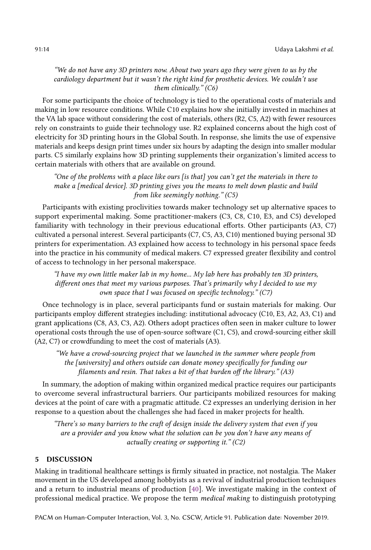### "We do not have any 3D printers now. About two years ago they were given to us by the cardiology department but it wasn't the right kind for prosthetic devices. We couldn't use them clinically." (C6)

For some participants the choice of technology is tied to the operational costs of materials and making in low resource conditions. While C10 explains how she initially invested in machines at the VA lab space without considering the cost of materials, others (R2, C5, A2) with fewer resources rely on constraints to guide their technology use. R2 explained concerns about the high cost of electricity for 3D printing hours in the Global South. In response, she limits the use of expensive materials and keeps design print times under six hours by adapting the design into smaller modular parts. C5 similarly explains how 3D printing supplements their organization's limited access to certain materials with others that are available on ground.

"One of the problems with a place like ours [is that] you can't get the materials in there to make a [medical device]. 3D printing gives you the means to melt down plastic and build from like seemingly nothing." (C5)

Participants with existing proclivities towards maker technology set up alternative spaces to support experimental making. Some practitioner-makers (C3, C8, C10, E3, and C5) developed familiarity with technology in their previous educational eforts. Other participants (A3, C7) cultivated a personal interest. Several participants (C7, C5, A3, C10) mentioned buying personal 3D printers for experimentation. A3 explained how access to technology in his personal space feeds into the practice in his community of medical makers. C7 expressed greater fexibility and control of access to technology in her personal makerspace.

"I have my own little maker lab in my home... My lab here has probably ten 3D printers, different ones that meet my various purposes. That's primarily why I decided to use my own space that I was focused on specific technology."  $(C7)$ 

Once technology is in place, several participants fund or sustain materials for making. Our participants employ diferent strategies including: institutional advocacy (C10, E3, A2, A3, C1) and grant applications (C8, A3, C3, A2). Others adopt practices often seen in maker culture to lower operational costs through the use of open-source software (C1, C5), and crowd-sourcing either skill (A2, C7) or crowdfunding to meet the cost of materials (A3).

"We have a crowd-sourcing project that we launched in the summer where people from the [university] and others outside can donate money specifcally for funding our filaments and resin. That takes a bit of that burden off the library."  $(A3)$ 

In summary, the adoption of making within organized medical practice requires our participants to overcome several infrastructural barriers. Our participants mobilized resources for making devices at the point of care with a pragmatic attitude. C2 expresses an underlying derision in her response to a question about the challenges she had faced in maker projects for health.

"There's so many barriers to the craft of design inside the delivery system that even if you are a provider and you know what the solution can be you don't have any means of actually creating or supporting it."  $(C2)$ 

# 5 DISCUSSION

Making in traditional healthcare settings is frmly situated in practice, not nostalgia. The Maker movement in the US developed among hobbyists as a revival of industrial production techniques and a return to industrial means of production [\[40\]](#page-21-13). We investigate making in the context of professional medical practice. We propose the term medical making to distinguish prototyping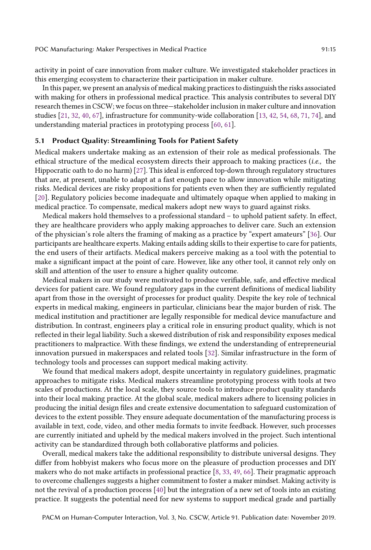activity in point of care innovation from maker culture. We investigated stakeholder practices in this emerging ecosystem to characterize their participation in maker culture.

In this paper, we present an analysis of medical making practices to distinguish the risks associated with making for others in professional medical practice. This analysis contributes to several DIY research themes in CSCW; we focus on three—stakeholder inclusion in maker culture and innovation studies [\[21,](#page-20-1) [32,](#page-20-6) [40,](#page-21-13) [67\]](#page-22-18), infrastructure for community-wide collaboration [\[13,](#page-19-2) [42,](#page-21-14) [54,](#page-21-15) [68,](#page-22-1) [71,](#page-22-19) [74\]](#page-22-2), and understanding material practices in prototyping process [\[60,](#page-22-3) [61\]](#page-22-4).

### 5.1 Product Quality: Streamlining Tools for Patient Safety

Medical makers undertake making as an extension of their role as medical professionals. The ethical structure of the medical ecosystem directs their approach to making practices (i.e., the Hippocratic oath to do no harm) [\[27\]](#page-20-7). This ideal is enforced top-down through regulatory structures that are, at present, unable to adapt at a fast enough pace to allow innovation while mitigating risks. Medical devices are risky propositions for patients even when they are sufficiently regulated [\[20\]](#page-20-20). Regulatory policies become inadequate and ultimately opaque when applied to making in medical practice. To compensate, medical makers adopt new ways to guard against risks.

Medical makers hold themselves to a professional standard – to uphold patient safety. In efect, they are healthcare providers who apply making approaches to deliver care. Such an extension of the physician's role alters the framing of making as a practice by "expert amateurs" [\[36\]](#page-20-0). Our participants are healthcare experts. Making entails adding skills to their expertise to care for patients, the end users of their artifacts. Medical makers perceive making as a tool with the potential to make a signifcant impact at the point of care. However, like any other tool, it cannot rely only on skill and attention of the user to ensure a higher quality outcome.

Medical makers in our study were motivated to produce verifable, safe, and efective medical devices for patient care. We found regulatory gaps in the current defnitions of medical liability apart from those in the oversight of processes for product quality. Despite the key role of technical experts in medical making, engineers in particular, clinicians bear the major burden of risk. The medical institution and practitioner are legally responsible for medical device manufacture and distribution. In contrast, engineers play a critical role in ensuring product quality, which is not refected in their legal liability. Such a skewed distribution of risk and responsibility exposes medical practitioners to malpractice. With these fndings, we extend the understanding of entrepreneurial innovation pursued in makerspaces and related tools [\[32\]](#page-20-6). Similar infrastructure in the form of technology tools and processes can support medical making activity.

We found that medical makers adopt, despite uncertainty in regulatory guidelines, pragmatic approaches to mitigate risks. Medical makers streamline prototyping process with tools at two scales of productions. At the local scale, they source tools to introduce product quality standards into their local making practice. At the global scale, medical makers adhere to licensing policies in producing the initial design fles and create extensive documentation to safeguard customization of devices to the extent possible. They ensure adequate documentation of the manufacturing process is available in text, code, video, and other media formats to invite feedback. However, such processes are currently initiated and upheld by the medical makers involved in the project. Such intentional activity can be standardized through both collaborative platforms and policies.

Overall, medical makers take the additional responsibility to distribute universal designs. They difer from hobbyist makers who focus more on the pleasure of production processes and DIY makers who do not make artifacts in professional practice [\[8,](#page-19-3) [33,](#page-20-3) [49,](#page-21-16) [66\]](#page-22-5). Their pragmatic approach to overcome challenges suggests a higher commitment to foster a maker mindset. Making activity is not the revival of a production process [\[40\]](#page-21-13) but the integration of a new set of tools into an existing practice. It suggests the potential need for new systems to support medical grade and partially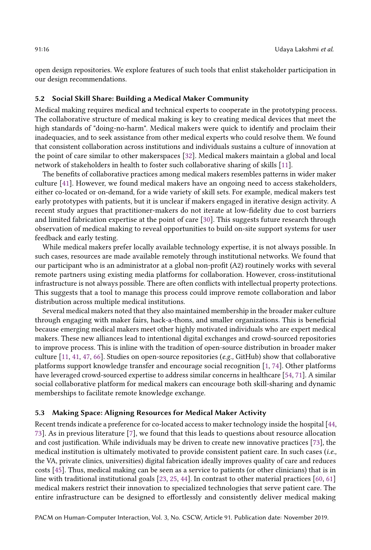open design repositories. We explore features of such tools that enlist stakeholder participation in our design recommendations.

### 5.2 Social Skill Share: Building a Medical Maker Community

Medical making requires medical and technical experts to cooperate in the prototyping process. The collaborative structure of medical making is key to creating medical devices that meet the high standards of "doing-no-harm". Medical makers were quick to identify and proclaim their inadequacies, and to seek assistance from other medical experts who could resolve them. We found that consistent collaboration across institutions and individuals sustains a culture of innovation at the point of care similar to other makerspaces [\[32\]](#page-20-6). Medical makers maintain a global and local network of stakeholders in health to foster such collaborative sharing of skills [\[11\]](#page-19-4).

The benefts of collaborative practices among medical makers resembles patterns in wider maker culture [\[41\]](#page-21-0). However, we found medical makers have an ongoing need to access stakeholders, either co-located or on-demand, for a wide variety of skill sets. For example, medical makers test early prototypes with patients, but it is unclear if makers engaged in iterative design activity. A recent study argues that practitioner-makers do not iterate at low-fdelity due to cost barriers and limited fabrication expertise at the point of care [\[30\]](#page-20-2). This suggests future research through observation of medical making to reveal opportunities to build on-site support systems for user feedback and early testing.

While medical makers prefer locally available technology expertise, it is not always possible. In such cases, resources are made available remotely through institutional networks. We found that our participant who is an administrator at a global non-proft (A2) routinely works with several remote partners using existing media platforms for collaboration. However, cross-institutional infrastructure is not always possible. There are often conficts with intellectual property protections. This suggests that a tool to manage this process could improve remote collaboration and labor distribution across multiple medical institutions.

Several medical makers noted that they also maintained membership in the broader maker culture through engaging with maker fairs, hack-a-thons, and smaller organizations. This is benefcial because emerging medical makers meet other highly motivated individuals who are expert medical makers. These new alliances lead to intentional digital exchanges and crowd-sourced repositories to improve process. This is inline with the tradition of open-source distribution in broader maker culture  $[11, 41, 47, 66]$  $[11, 41, 47, 66]$  $[11, 41, 47, 66]$  $[11, 41, 47, 66]$  $[11, 41, 47, 66]$  $[11, 41, 47, 66]$  $[11, 41, 47, 66]$ . Studies on open-source repositories (*e.g.*, GitHub) show that collaborative platforms support knowledge transfer and encourage social recognition [\[1,](#page-19-11) [74\]](#page-22-2). Other platforms have leveraged crowd-sourced expertise to address similar concerns in healthcare [\[54,](#page-21-15) [71\]](#page-22-19). A similar social collaborative platform for medical makers can encourage both skill-sharing and dynamic memberships to facilitate remote knowledge exchange.

#### 5.3 Making Space: Aligning Resources for Medical Maker Activity

Recent trends indicate a preference for co-located access to maker technology inside the hospital [\[44,](#page-21-4) [73\]](#page-22-10). As in previous literature [\[7\]](#page-19-0), we found that this leads to questions about resource allocation and cost justifcation. While individuals may be driven to create new innovative practices [\[73\]](#page-22-10), the medical institution is ultimately motivated to provide consistent patient care. In such cases (i.e., the VA, private clinics, universities) digital fabrication ideally improves quality of care and reduces costs [\[45\]](#page-21-17). Thus, medical making can be seen as a service to patients (or other clinicians) that is in line with traditional institutional goals [\[23,](#page-20-5) [25,](#page-20-17) [44\]](#page-21-4). In contrast to other material practices [\[60,](#page-22-3) [61\]](#page-22-4) medical makers restrict their innovation to specialized technologies that serve patient care. The entire infrastructure can be designed to efortlessly and consistently deliver medical making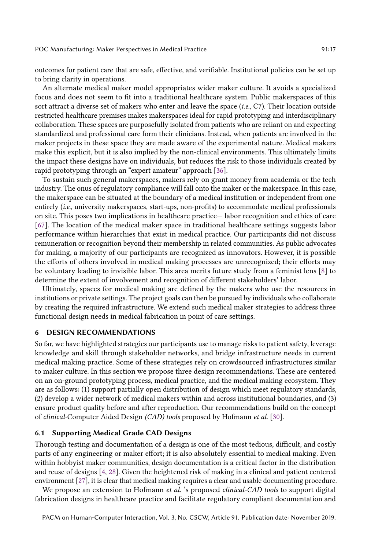outcomes for patient care that are safe, efective, and verifable. Institutional policies can be set up to bring clarity in operations.

An alternate medical maker model appropriates wider maker culture. It avoids a specialized focus and does not seem to ft into a traditional healthcare system. Public makerspaces of this sort attract a diverse set of makers who enter and leave the space (i.e., C7). Their location outside restricted healthcare premises makes makerspaces ideal for rapid prototyping and interdisciplinary collaboration. These spaces are purposefully isolated from patients who are reliant on and expecting standardized and professional care form their clinicians. Instead, when patients are involved in the maker projects in these space they are made aware of the experimental nature. Medical makers make this explicit, but it is also implied by the non-clinical environments. This ultimately limits the impact these designs have on individuals, but reduces the risk to those individuals created by rapid prototyping through an "expert amateur" approach [\[36\]](#page-20-0).

To sustain such general makerspaces, makers rely on grant money from academia or the tech industry. The onus of regulatory compliance will fall onto the maker or the makerspace. In this case, the makerspace can be situated at the boundary of a medical institution or independent from one entirely (i.e., university makerspaces, start-ups, non-profts) to accommodate medical professionals on site. This poses two implications in healthcare practice— labor recognition and ethics of care [\[67\]](#page-22-18). The location of the medical maker space in traditional healthcare settings suggests labor performance within hierarchies that exist in medical practice. Our participants did not discuss remuneration or recognition beyond their membership in related communities. As public advocates for making, a majority of our participants are recognized as innovators. However, it is possible the eforts of others involved in medical making processes are unrecognized; their eforts may be voluntary leading to invisible labor. This area merits future study from a feminist lens [\[8\]](#page-19-3) to determine the extent of involvement and recognition of diferent stakeholders' labor.

Ultimately, spaces for medical making are defned by the makers who use the resources in institutions or private settings. The project goals can then be pursued by individuals who collaborate by creating the required infrastructure. We extend such medical maker strategies to address three functional design needs in medical fabrication in point of care settings.

# 6 DESIGN RECOMMENDATIONS

So far, we have highlighted strategies our participants use to manage risks to patient safety, leverage knowledge and skill through stakeholder networks, and bridge infrastructure needs in current medical making practice. Some of these strategies rely on crowdsourced infrastructures similar to maker culture. In this section we propose three design recommendations. These are centered on an on-ground prototyping process, medical practice, and the medical making ecosystem. They are as follows: (1) support partially open distribution of design which meet regulatory standards, (2) develop a wider network of medical makers within and across institutional boundaries, and (3) ensure product quality before and after reproduction. Our recommendations build on the concept of clinical-Computer Aided Design (CAD) tools proposed by Hofmann et al. [\[30\]](#page-20-2).

### 6.1 Supporting Medical Grade CAD Designs

Thorough testing and documentation of a design is one of the most tedious, difficult, and costly parts of any engineering or maker efort; it is also absolutely essential to medical making. Even within hobbyist maker communities, design documentation is a critical factor in the distribution and reuse of designs [\[4,](#page-19-13) [28\]](#page-20-21). Given the heightened risk of making in a clinical and patient centered environment [\[27\]](#page-20-7), it is clear that medical making requires a clear and usable documenting procedure.

We propose an extension to Hofmann *et al.* 's proposed *clinical-CAD tools* to support digital fabrication designs in healthcare practice and facilitate regulatory compliant documentation and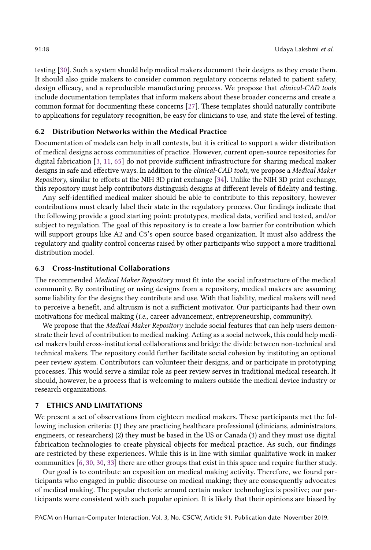testing [\[30\]](#page-20-2). Such a system should help medical makers document their designs as they create them. It should also guide makers to consider common regulatory concerns related to patient safety, design efficacy, and a reproducible manufacturing process. We propose that *clinical-CAD tools* include documentation templates that inform makers about these broader concerns and create a common format for documenting these concerns [\[27\]](#page-20-7). These templates should naturally contribute to applications for regulatory recognition, be easy for clinicians to use, and state the level of testing.

### 6.2 Distribution Networks within the Medical Practice

Documentation of models can help in all contexts, but it is critical to support a wider distribution of medical designs across communities of practice. However, current open-source repositories for digital fabrication  $[3, 11, 65]$  $[3, 11, 65]$  $[3, 11, 65]$  $[3, 11, 65]$  $[3, 11, 65]$  do not provide sufficient infrastructure for sharing medical maker designs in safe and efective ways. In addition to the clinical-CAD tools, we propose a Medical Maker Repository, similar to eforts at the NIH 3D print exchange [\[34\]](#page-20-16). Unlike the NIH 3D print exchange, this repository must help contributors distinguish designs at diferent levels of fdelity and testing.

Any self-identifed medical maker should be able to contribute to this repository, however contributions must clearly label their state in the regulatory process. Our fndings indicate that the following provide a good starting point: prototypes, medical data, verifed and tested, and/or subject to regulation. The goal of this repository is to create a low barrier for contribution which will support groups like A2 and C5's open source based organization. It must also address the regulatory and quality control concerns raised by other participants who support a more traditional distribution model.

### 6.3 Cross-Institutional Collaborations

The recommended Medical Maker Repository must ft into the social infrastructure of the medical community. By contributing or using designs from a repository, medical makers are assuming some liability for the designs they contribute and use. With that liability, medical makers will need to perceive a benefit, and altruism is not a sufficient motivator. Our participants had their own motivations for medical making (i.e., career advancement, entrepreneurship, community).

We propose that the *Medical Maker Repository* include social features that can help users demonstrate their level of contribution to medical making. Acting as a social network, this could help medical makers build cross-institutional collaborations and bridge the divide between non-technical and technical makers. The repository could further facilitate social cohesion by instituting an optional peer review system. Contributors can volunteer their designs, and or participate in prototyping processes. This would serve a similar role as peer review serves in traditional medical research. It should, however, be a process that is welcoming to makers outside the medical device industry or research organizations.

### 7 ETHICS AND LIMITATIONS

We present a set of observations from eighteen medical makers. These participants met the following inclusion criteria: (1) they are practicing healthcare professional (clinicians, administrators, engineers, or researchers) (2) they must be based in the US or Canada (3) and they must use digital fabrication technologies to create physical objects for medical practice. As such, our fndings are restricted by these experiences. While this is in line with similar qualitative work in maker communities [\[6,](#page-19-14) [30,](#page-20-2) [30,](#page-20-2) [33\]](#page-20-3) there are other groups that exist in this space and require further study.

Our goal is to contribute an exposition on medical making activity. Therefore, we found participants who engaged in public discourse on medical making; they are consequently advocates of medical making. The popular rhetoric around certain maker technologies is positive; our participants were consistent with such popular opinion. It is likely that their opinions are biased by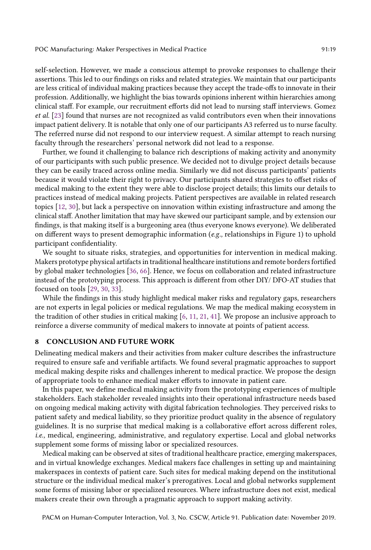self-selection. However, we made a conscious attempt to provoke responses to challenge their assertions. This led to our fndings on risks and related strategies. We maintain that our participants are less critical of individual making practices because they accept the trade-ofs to innovate in their profession. Additionally, we highlight the bias towards opinions inherent within hierarchies among clinical staf. For example, our recruitment eforts did not lead to nursing staf interviews. Gomez et al. [\[23\]](#page-20-5) found that nurses are not recognized as valid contributors even when their innovations impact patient delivery. It is notable that only one of our participants A3 referred us to nurse faculty. The referred nurse did not respond to our interview request. A similar attempt to reach nursing faculty through the researchers' personal network did not lead to a response.

Further, we found it challenging to balance rich descriptions of making activity and anonymity of our participants with such public presence. We decided not to divulge project details because they can be easily traced across online media. Similarly we did not discuss participants' patients because it would violate their right to privacy. Our participants shared strategies to offset risks of medical making to the extent they were able to disclose project details; this limits our details to practices instead of medical making projects. Patient perspectives are available in related research topics [\[12,](#page-19-15) [30\]](#page-20-2), but lack a perspective on innovation within existing infrastructure and among the clinical staf. Another limitation that may have skewed our participant sample, and by extension our fndings, is that making itself is a burgeoning area (thus everyone knows everyone). We deliberated on diferent ways to present demographic information (e.g., relationships in Figure 1) to uphold participant confdentiality.

We sought to situate risks, strategies, and opportunities for intervention in medical making. Makers prototype physical artifactsin traditional healthcare institutions and remote bordersfortifed by global maker technologies [\[36,](#page-20-0) [66\]](#page-22-5). Hence, we focus on collaboration and related infrastructure instead of the prototyping process. This approach is diferent from other DIY/ DFO-AT studies that focused on tools [\[29,](#page-20-12) [30,](#page-20-2) [33\]](#page-20-3).

While the fndings in this study highlight medical maker risks and regulatory gaps, researchers are not experts in legal policies or medical regulations. We map the medical making ecosystem in the tradition of other studies in critical making [\[6,](#page-19-14) [11,](#page-19-4) [21,](#page-20-1) [41\]](#page-21-0). We propose an inclusive approach to reinforce a diverse community of medical makers to innovate at points of patient access.

#### 8 CONCLUSION AND FUTURE WORK

Delineating medical makers and their activities from maker culture describes the infrastructure required to ensure safe and verifable artifacts. We found several pragmatic approaches to support medical making despite risks and challenges inherent to medical practice. We propose the design of appropriate tools to enhance medical maker efforts to innovate in patient care.

In this paper, we defne medical making activity from the prototyping experiences of multiple stakeholders. Each stakeholder revealed insights into their operational infrastructure needs based on ongoing medical making activity with digital fabrication technologies. They perceived risks to patient safety and medical liability, so they prioritize product quality in the absence of regulatory guidelines. It is no surprise that medical making is a collaborative efort across diferent roles, i.e., medical, engineering, administrative, and regulatory expertise. Local and global networks supplement some forms of missing labor or specialized resources.

Medical making can be observed at sites of traditional healthcare practice, emerging makerspaces, and in virtual knowledge exchanges. Medical makers face challenges in setting up and maintaining makerspaces in contexts of patient care. Such sites for medical making depend on the institutional structure or the individual medical maker's prerogatives. Local and global networks supplement some forms of missing labor or specialized resources. Where infrastructure does not exist, medical makers create their own through a pragmatic approach to support making activity.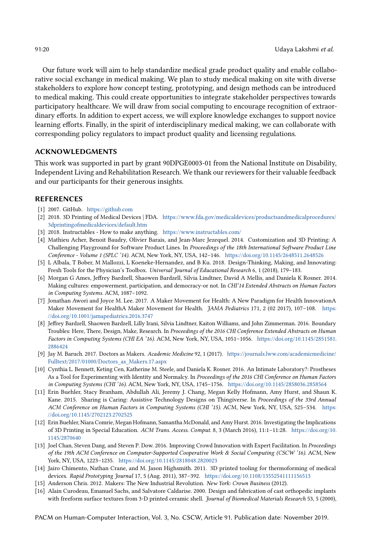Our future work will aim to help standardize medical grade product quality and enable collaborative social exchange in medical making. We plan to study medical making on site with diverse stakeholders to explore how concept testing, prototyping, and design methods can be introduced to medical making. This could create opportunities to integrate stakeholder perspectives towards participatory healthcare. We will draw from social computing to encourage recognition of extraordinary eforts. In addition to expert access, we will explore knowledge exchanges to support novice learning eforts. Finally, in the spirit of interdisciplinary medical making, we can collaborate with corresponding policy regulators to impact product quality and licensing regulations.

### ACKNOWLEDGMENTS

This work was supported in part by grant 90DPGE0003-01 from the National Institute on Disability, Independent Living and Rehabilitation Research. We thank our reviewers for their valuable feedback and our participants for their generous insights.

### REFERENCES

- <span id="page-19-11"></span>[1] 2007. GitHub. <https://github.com>
- <span id="page-19-9"></span>[2] 2018. 3D Printing of Medical Devices | FDA. [https://www.fda.gov/medicaldevices/productsandmedicalprocedures/](https://www.fda.gov/medicaldevices/productsandmedicalprocedures/3dprintingofmedicaldevices/default.htm) [3dprintingofmedicaldevices/default.htm](https://www.fda.gov/medicaldevices/productsandmedicalprocedures/3dprintingofmedicaldevices/default.htm)
- <span id="page-19-12"></span>[3] 2018. Instructables - How to make anything. <https://www.instructables.com/>
- <span id="page-19-13"></span>[4] Mathieu Acher, Benoit Baudry, Olivier Barais, and Jean-Marc Jezequel. 2014. Customization and 3D Printing: A Challenging Playground for Software Product Lines. In Proceedings of the 18th International Software Product Line Conference - Volume 1 (SPLC '14). ACM, New York, NY, USA, 142–146. <https://doi.org/10.1145/2648511.2648526>
- <span id="page-19-10"></span>[5] L Albala, T Bober, M Mallozzi, L Koeneke-Hernandez, and B Ku. 2018. Design-Thinking, Making, and Innovating: Fresh Tools for the Physician's Toolbox. Universal Journal of Educational Research 6, 1 (2018), 179–183.
- <span id="page-19-14"></span>[6] Morgan G Ames, Jefrey Bardzell, Shaowen Bardzell, Silvia Lindtner, David A Mellis, and Daniela K Rosner. 2014. Making cultures: empowerment, participation, and democracy-or not. In CHI'14 Extended Abstracts on Human Factors in Computing Systems. ACM, 1087–1092.
- <span id="page-19-0"></span>[7] Jonathan Awori and Joyce M. Lee. 2017. A Maker Movement for Health: A New Paradigm for Health InnovationA Maker Movement for HealthA Maker Movement for Health. JAMA Pediatrics 171, 2 (02 2017), 107–108. [https:](https://doi.org/10.1001/jamapediatrics.2016.3747) [//doi.org/10.1001/jamapediatrics.2016.3747](https://doi.org/10.1001/jamapediatrics.2016.3747)
- <span id="page-19-3"></span>[8] Jefrey Bardzell, Shaowen Bardzell, Lilly Irani, Silvia Lindtner, Kaiton Williams, and John Zimmerman. 2016. Boundary Troubles: Here, There, Design, Make, Research. In Proceedings of the 2016 CHI Conference Extended Abstracts on Human Factors in Computing Systems (CHI EA '16). ACM, New York, NY, USA, 1051–1056. [https://doi.org/10.1145/2851581.](https://doi.org/10.1145/2851581.2886424) [2886424](https://doi.org/10.1145/2851581.2886424)
- <span id="page-19-5"></span>[9] Jay M. Baruch. 2017. Doctors as Makers. Academic Medicine 92, 1 (2017). [https://journals.lww.com/academicmedicine/](https://journals.lww.com/academicmedicine/Fulltext/2017/01000/Doctors_as_Makers.17.aspx) [Fulltext/2017/01000/Doctors\\_as\\_Makers.17.aspx](https://journals.lww.com/academicmedicine/Fulltext/2017/01000/Doctors_as_Makers.17.aspx)
- <span id="page-19-8"></span>[10] Cynthia L. Bennett, Keting Cen, Katherine M. Steele, and Daniela K. Rosner. 2016. An Intimate Laboratory?: Prostheses As a Tool for Experimenting with Identity and Normalcy. In Proceedings of the 2016 CHI Conference on Human Factors in Computing Systems (CHI '16). ACM, New York, NY, USA, 1745–1756. <https://doi.org/10.1145/2858036.2858564>
- <span id="page-19-4"></span>[11] Erin Buehler, Stacy Branham, Abdullah Ali, Jeremy J. Chang, Megan Kelly Hofmann, Amy Hurst, and Shaun K. Kane. 2015. Sharing is Caring: Assistive Technology Designs on Thingiverse. In Proceedings of the 33rd Annual ACM Conference on Human Factors in Computing Systems (CHI '15). ACM, New York, NY, USA, 525–534. [https:](https://doi.org/10.1145/2702123.2702525) [//doi.org/10.1145/2702123.2702525](https://doi.org/10.1145/2702123.2702525)
- <span id="page-19-15"></span>[12] Erin Buehler, Niara Comrie, Megan Hofmann, Samantha McDonald, and Amy Hurst. 2016. Investigating the Implications of 3D Printing in Special Education. ACM Trans. Access. Comput. 8, 3 (March 2016), 11:1–11:28. [https://doi.org/10.](https://doi.org/10.1145/2870640) [1145/2870640](https://doi.org/10.1145/2870640)
- <span id="page-19-2"></span>[13] Joel Chan, Steven Dang, and Steven P. Dow. 2016. Improving Crowd Innovation with Expert Facilitation. In Proceedings of the 19th ACM Conference on Computer-Supported Cooperative Work & Social Computing (CSCW '16). ACM, New York, NY, USA, 1223–1235. <https://doi.org/10.1145/2818048.2820023>
- <span id="page-19-7"></span>[14] Jairo Chimento, Nathan Crane, and M. Jason Highsmith. 2011. 3D printed tooling for thermoforming of medical devices. Rapid Prototyping Journal 17, 5 (Aug. 2011), 387–392. <https://doi.org/10.1108/13552541111156513>
- <span id="page-19-1"></span>[15] Anderson Chris. 2012. Makers: The New Industrial Revolution. New York: Crown Business (2012).
- <span id="page-19-6"></span>[16] Alain Curodeau, Emanuel Sachs, and Salvatore Caldarise. 2000. Design and fabrication of cast orthopedic implants with freeform surface textures from 3-D printed ceramic shell. Journal of Biomedical Materials Research 53, 5 (2000),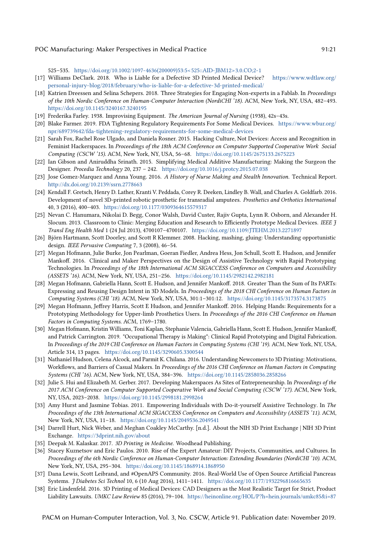525–535. [https://doi.org/10.1002/1097-4636\(200009\)53:5<525::AID-JBM12>3.0.CO;2-1](https://doi.org/10.1002/1097-4636(200009)53:5<525::AID-JBM12>3.0.CO;2-1)

- <span id="page-20-14"></span>[17] Williams DeClark. 2018. Who is Liable for a Defective 3D Printed Medical Device? [https://www.wdtlaw.org/](https://www.wdtlaw.org/personal-injury-blog/2018/february/who-is-liable-for-a-defective-3d-printed-medical/) [personal-injury-blog/2018/february/who-is-liable-for-a-defective-3d-printed-medical/](https://www.wdtlaw.org/personal-injury-blog/2018/february/who-is-liable-for-a-defective-3d-printed-medical/)
- <span id="page-20-18"></span>[18] Katrien Dreessen and Selina Schepers. 2018. Three Strategies for Engaging Non-experts in a Fablab. In Proceedings of the 10th Nordic Conference on Human-Computer Interaction (NordiCHI '18). ACM, New York, NY, USA, 482–493. <https://doi.org/10.1145/3240167.3240195>
- <span id="page-20-4"></span>[19] Frederika Farley. 1938. Improvising Equipment. The American Journal of Nursing (1938), 42s–43s.
- <span id="page-20-20"></span>[20] Blake Farmer. 2019. FDA Tightening Regulatory Requirements For Some Medical Devices. [https://www.wbur.org/](https://www.wbur.org/npr/689739642/fda-tightening-regulatory-requirements-for-some-medical-devices) [npr/689739642/fda-tightening-regulatory-requirements-for-some-medical-devices](https://www.wbur.org/npr/689739642/fda-tightening-regulatory-requirements-for-some-medical-devices)
- <span id="page-20-1"></span>[21] Sarah Fox, Rachel Rose Ulgado, and Daniela Rosner. 2015. Hacking Culture, Not Devices: Access and Recognition in Feminist Hackerspaces. In Proceedings of the 18th ACM Conference on Computer Supported Cooperative Work Social Computing (CSCW '15). ACM, New York, NY, USA, 56–68. <https://doi.org/10.1145/2675133.2675223>
- <span id="page-20-9"></span>[22] Ian Gibson and Aniruddha Srinath. 2015. Simplifying Medical Additive Manufacturing: Making the Surgeon the Designer. Procedia Technology 20, 237 – 242. <https://doi.org/10.1016/j.protcy.2015.07.038>
- <span id="page-20-5"></span>[23] Jose Gomez-Marquez and Anna Young. 2016. A History of Nurse Making and Stealth Innovation. Technical Report. <http://dx.doi.org/10.2139/ssrn.2778663>
- <span id="page-20-10"></span>[24] Kendall F. Gretsch, Henry D. Lather, Kranti V. Peddada, Corey R. Deeken, Lindley B. Wall, and Charles A. Goldfarb. 2016. Development of novel 3D-printed robotic prosthetic for transradial amputees. Prosthetics and Orthotics International 40, 3 (2016), 400–403. <https://doi.org/10.1177/0309364615579317>
- <span id="page-20-17"></span>[25] Nevan C. Hanumara, Nikolai D. Begg, Conor Walsh, David Custer, Rajiv Gupta, Lynn R. Osborn, and Alexander H. Slocum. 2013. Classroom to Clinic: Merging Education and Research to Efficiently Prototype Medical Devices. IEEE  $\tilde{\jmath}$ Transl Eng Health Med 1 (24 Jul 2013), 4700107–4700107. <https://doi.org/10.1109/JTEHM.2013.2271897>
- <span id="page-20-11"></span>[26] Björn Hartmann, Scott Doorley, and Scott R Klemmer. 2008. Hacking, mashing, gluing: Understanding opportunistic design. IEEE Pervasive Computing 7, 3 (2008), 46–54.
- <span id="page-20-7"></span>[27] Megan Hofmann, Julie Burke, Jon Pearlman, Goeran Fiedler, Andrea Hess, Jon Schull, Scott E. Hudson, and Jennifer Mankof. 2016. Clinical and Maker Perspectives on the Design of Assistive Technology with Rapid Prototyping Technologies. In Proceedings of the 18th International ACM SIGACCESS Conference on Computers and Accessibility (ASSETS '16). ACM, New York, NY, USA, 251–256. <https://doi.org/10.1145/2982142.2982181>
- <span id="page-20-21"></span>[28] Megan Hofmann, Gabriella Hann, Scott E. Hudson, and Jennifer Mankof. 2018. Greater Than the Sum of Its PARTs: Expressing and Reusing Design Intent in 3D Models. In Proceedings of the 2018 CHI Conference on Human Factors in Computing Systems (CHI '18). ACM, New York, NY, USA, 301:1–301:12. <https://doi.org/10.1145/3173574.3173875>
- <span id="page-20-12"></span>[29] Megan Hofmann, Jefrey Harris, Scott E Hudson, and Jennifer Mankof. 2016. Helping Hands: Requirements for a Prototyping Methodology for Upper-limb Prosthetics Users. In Proceedings of the 2016 CHI Conference on Human Factors in Computing Systems. ACM, 1769–1780.
- <span id="page-20-2"></span>[30] Megan Hofmann, Kristin Williams, Toni Kaplan, Stephanie Valencia, Gabriella Hann, Scott E. Hudson, Jennifer Mankof, and Patrick Carrington. 2019. "Occupational Therapy is Making": Clinical Rapid Prototyping and Digital Fabrication. In Proceedings of the 2019 CHI Conference on Human Factors in Computing Systems (CHI '19). ACM, New York, NY, USA, Article 314, 13 pages. <https://doi.org/10.1145/3290605.3300544>
- <span id="page-20-19"></span>[31] Nathaniel Hudson, Celena Alcock, and Parmit K. Chilana. 2016. Understanding Newcomers to 3D Printing: Motivations, Workfows, and Barriers of Casual Makers. In Proceedings of the 2016 CHI Conference on Human Factors in Computing Systems (CHI '16). ACM, New York, NY, USA, 384–396. <https://doi.org/10.1145/2858036.2858266>
- <span id="page-20-6"></span>[32] Julie S. Hui and Elizabeth M. Gerber. 2017. Developing Makerspaces As Sites of Entrepreneurship. In Proceedings of the 2017 ACM Conference on Computer Supported Cooperative Work and Social Computing (CSCW '17). ACM, New York, NY, USA, 2023–2038. <https://doi.org/10.1145/2998181.2998264>
- <span id="page-20-3"></span>[33] Amy Hurst and Jasmine Tobias. 2011. Empowering Individuals with Do-it-yourself Assistive Technology. In The Proceedings of the 13th International ACM SIGACCESS Conference on Computers and Accessibility (ASSETS '11). ACM, New York, NY, USA, 11–18. <https://doi.org/10.1145/2049536.2049541>
- <span id="page-20-16"></span>[34] Darrell Hurt, Nick Weber, and Meghan Coakley McCarthy. [n.d.]. About the NIH 3D Print Exchange | NIH 3D Print Exchange. <https://3dprint.nih.gov/about>
- <span id="page-20-8"></span>[35] Deepak M. Kalaskar. 2017. 3D Printing in Medicine. Woodhead Publishing.
- <span id="page-20-0"></span>[36] Stacey Kuznetsov and Eric Paulos. 2010. Rise of the Expert Amateur: DIY Projects, Communities, and Cultures. In Proceedings of the 6th Nordic Conference on Human-Computer Interaction: Extending Boundaries (NordiCHI '10). ACM, New York, NY, USA, 295–304. <https://doi.org/10.1145/1868914.1868950>
- <span id="page-20-13"></span>[37] Dana Lewis, Scott Leibrand, and #OpenAPS Community. 2016. Real-World Use of Open Source Artifcial Pancreas Systems. J Diabetes Sci Technol 10, 6 (10 Aug 2016), 1411–1411. <https://doi.org/10.1177/1932296816665635>
- <span id="page-20-15"></span>[38] Eric Lindenfeld. 2016. 3D Printing of Medical Devices: CAD Designers as the Most Realistic Target for Strict, Product Liability Lawsuits. UMKC Law Review 85 (2016), 79–104. <https://heinonline.org/HOL/P?h=hein.journals/umkc85&i=87>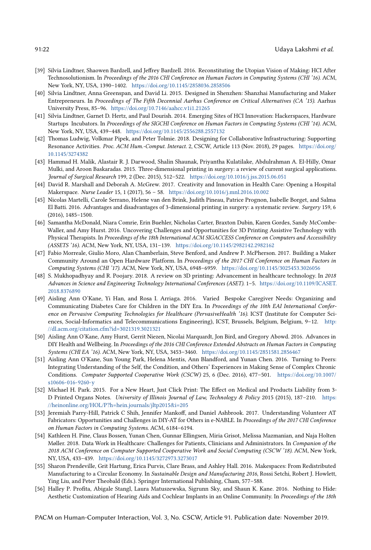- <span id="page-21-2"></span>[39] Silvia Lindtner, Shaowen Bardzell, and Jefrey Bardzell. 2016. Reconstituting the Utopian Vision of Making: HCI After Technosolutionism. In Proceedings of the 2016 CHI Conference on Human Factors in Computing Systems (CHI '16). ACM, New York, NY, USA, 1390–1402. <https://doi.org/10.1145/2858036.2858506>
- <span id="page-21-13"></span>[40] Silvia Lindtner, Anna Greenspan, and David Li. 2015. Designed in Shenzhen: Shanzhai Manufacturing and Maker Entrepreneurs. In Proceedings of The Fifth Decennial Aarhus Conference on Critical Alternatives (CA '15). Aarhus University Press, 85–96. <https://doi.org/10.7146/aahcc.v1i1.21265>
- <span id="page-21-0"></span>[41] Silvia Lindtner, Garnet D. Hertz, and Paul Dourish. 2014. Emerging Sites of HCI Innovation: Hackerspaces, Hardware Startups Incubators. In Proceedings of the SIGCHI Conference on Human Factors in Computing Systems (CHI '14). ACM, New York, NY, USA, 439–448. <https://doi.org/10.1145/2556288.2557132>
- <span id="page-21-14"></span>[42] Thomas Ludwig, Volkmar Pipek, and Peter Tolmie. 2018. Designing for Collaborative Infrastructuring: Supporting Resonance Activities. Proc. ACM Hum.-Comput. Interact. 2, CSCW, Article 113 (Nov. 2018), 29 pages. [https://doi.org/](https://doi.org/10.1145/3274382) [10.1145/3274382](https://doi.org/10.1145/3274382)
- <span id="page-21-6"></span>[43] Hammad H. Malik, Alastair R. J. Darwood, Shalin Shaunak, Priyantha Kulatilake, Abdulrahman A. El-Hilly, Omar Mulki, and Aroon Baskaradas. 2015. Three-dimensional printing in surgery: a review of current surgical applications. Journal of Surgical Research 199, 2 (Dec. 2015), 512–522. <https://doi.org/10.1016/j.jss.2015.06.051>
- <span id="page-21-4"></span>[44] David R. Marshall and Deborah A. McGrew. 2017. Creativity and Innovation in Health Care: Opening a Hospital Makerspace. Nurse Leader 15, 1 (2017), 56 – 58. <https://doi.org/10.1016/j.mnl.2016.10.002>
- <span id="page-21-17"></span>[45] Nicolas Martelli, Carole Serrano, Helene van den Brink, Judith Pineau, Patrice Prognon, Isabelle Borget, and Salma El Batti. 2016. Advantages and disadvantages of 3-dimensional printing in surgery: a systematic review. Surgery 159, 6 (2016), 1485–1500.
- <span id="page-21-3"></span>[46] Samantha McDonald, Niara Comrie, Erin Buehler, Nicholas Carter, Braxton Dubin, Karen Gordes, Sandy McCombe-Waller, and Amy Hurst. 2016. Uncovering Challenges and Opportunities for 3D Printing Assistive Technology with Physical Therapists. In Proceedings of the 18th International ACM SIGACCESS Conference on Computers and Accessibility (ASSETS '16). ACM, New York, NY, USA, 131–139. <https://doi.org/10.1145/2982142.2982162>
- <span id="page-21-7"></span>[47] Fabio Morreale, Giulio Moro, Alan Chamberlain, Steve Benford, and Andrew P. McPherson. 2017. Building a Maker Community Around an Open Hardware Platform. In Proceedings of the 2017 CHI Conference on Human Factors in Computing Systems (CHI '17). ACM, New York, NY, USA, 6948–6959. <https://doi.org/10.1145/3025453.3026056>
- <span id="page-21-5"></span>[48] S. Mukhopadhyay and R. Poojary. 2018. A review on 3D printing: Advancement in healthcare technology. In 2018 Advances in Science and Engineering Technology International Conferences (ASET). 1–5. [https://doi.org/10.1109/ICASET.](https://doi.org/10.1109/ICASET.2018.8376890) [2018.8376890](https://doi.org/10.1109/ICASET.2018.8376890)
- <span id="page-21-16"></span>[49] Aisling Ann O'Kane, Yi Han, and Rosa I. Arriaga. 2016. Varied Bespoke Caregiver Needs: Organizing and Communicating Diabetes Care for Children in the DIY Era. In Proceedings of the 10th EAI International Conference on Pervasive Computing Technologies for Healthcare (PervasiveHealth '16). ICST (Institute for Computer Sciences, Social-Informatics and Telecommunications Engineering), ICST, Brussels, Belgium, Belgium, 9-12. [http:](http://dl.acm.org/citation.cfm?id=3021319.3021321) [//dl.acm.org/citation.cfm?id=3021319.3021321](http://dl.acm.org/citation.cfm?id=3021319.3021321)
- <span id="page-21-1"></span>[50] Aisling Ann O'Kane, Amy Hurst, Gerrit Niezen, Nicolai Marquardt, Jon Bird, and Gregory Abowd. 2016. Advances in DIY Health and Wellbeing. In Proceedings of the 2016 CHI Conference Extended Abstracts on Human Factors in Computing Systems (CHI EA '16). ACM, New York, NY, USA, 3453–3460. <https://doi.org/10.1145/2851581.2856467>
- <span id="page-21-11"></span>[51] Aisling Ann O'Kane, Sun Young Park, Helena Mentis, Ann Blandford, and Yunan Chen. 2016. Turning to Peers: Integrating Understanding of the Self, the Condition, and Others' Experiences in Making Sense of Complex Chronic Conditions. Computer Supported Cooperative Work (CSCW) 25, 6 (Dec. 2016), 477–501. [https://doi.org/10.1007/](https://doi.org/10.1007/s10606-016-9260-y) [s10606-016-9260-y](https://doi.org/10.1007/s10606-016-9260-y)
- <span id="page-21-10"></span>[52] Michael H. Park. 2015. For a New Heart, Just Click Print: The Efect on Medical and Products Liability from 3- D Printed Organs Notes. University of Illinois Journal of Law, Technology & Policy 2015 (2015), 187–210. [https:](https://heinonline.org/HOL/P?h=hein.journals/jltp2015&i=205) [//heinonline.org/HOL/P?h=hein.journals/jltp2015&i=205](https://heinonline.org/HOL/P?h=hein.journals/jltp2015&i=205)
- <span id="page-21-8"></span>[53] Jeremiah Parry-Hill, Patrick C Shih, Jennifer Mankoff, and Daniel Ashbrook. 2017. Understanding Volunteer AT Fabricators: Opportunities and Challenges in DIY-AT for Others in e-NABLE. In Proceedings of the 2017 CHI Conference on Human Factors in Computing Systems. ACM, 6184–6194.
- <span id="page-21-15"></span>[54] Kathleen H. Pine, Claus Bossen, Yunan Chen, Gunnar Ellingsen, Miria Grisot, Melissa Mazmanian, and Naja Holten Møller. 2018. Data Work in Healthcare: Challenges for Patients, Clinicians and Administrators. In Companion of the 2018 ACM Conference on Computer Supported Cooperative Work and Social Computing (CSCW '18). ACM, New York, NY, USA, 433–439. <https://doi.org/10.1145/3272973.3273017>
- <span id="page-21-12"></span>[55] Sharon Prendeville, Grit Hartung, Erica Purvis, Clare Brass, and Ashley Hall. 2016. Makespaces: From Redistributed Manufacturing to a Circular Economy. In Sustainable Design and Manufacturing 2016, Rossi Setchi, Robert J. Howlett, Ying Liu, and Peter Theobald (Eds.). Springer International Publishing, Cham, 577–588.
- <span id="page-21-9"></span>[56] Halley P. Profta, Abigale Stangl, Laura Matuszewska, Sigrunn Sky, and Shaun K. Kane. 2016. Nothing to Hide: Aesthetic Customization of Hearing Aids and Cochlear Implants in an Online Community. In Proceedings of the 18th